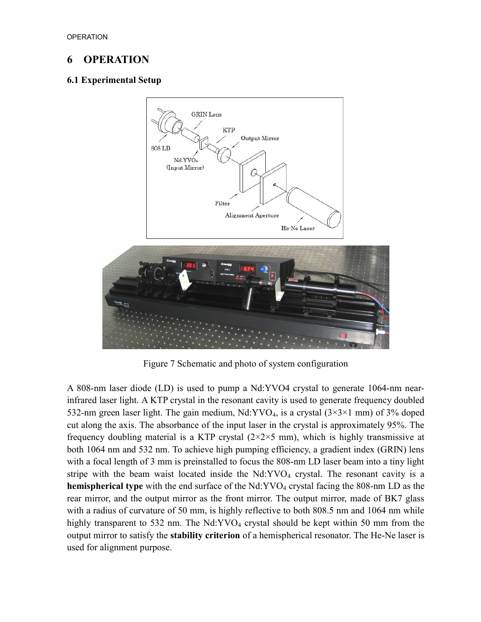## 6 OPERATION

## 6.1 Experimental Setup



Figure 7 Schematic and photo of system configuration

A 808-nm laser diode (LD) is used to pump a Nd:YVO4 crystal to generate 1064-nm nearinfrared laser light. A KTP crystal in the resonant cavity is used to generate frequency doubled 532-nm green laser light. The gain medium, Nd:YVO<sub>4</sub>, is a crystal  $(3\times3\times1$  mm) of 3% doped cut along the axis. The absorbance of the input laser in the crystal is approximately 95%. The frequency doubling material is a KTP crystal  $(2\times2\times5$  mm), which is highly transmissive at both 1064 nm and 532 nm. To achieve high pumping efficiency, a gradient index (GRIN) lens with a focal length of 3 mm is preinstalled to focus the 808-nm LD laser beam into a tiny light stripe with the beam waist located inside the  $Nd:YVO<sub>4</sub>$  crystal. The resonant cavity is a hemispherical type with the end surface of the  $Nd:YVO<sub>4</sub>$  crystal facing the 808-nm LD as the rear mirror, and the output mirror as the front mirror. The output mirror, made of BK7 glass with a radius of curvature of 50 mm, is highly reflective to both 808.5 nm and 1064 nm while highly transparent to 532 nm. The Nd:YVO<sub>4</sub> crystal should be kept within 50 mm from the output mirror to satisfy the stability criterion of a hemispherical resonator. The He-Ne laser is used for alignment purpose.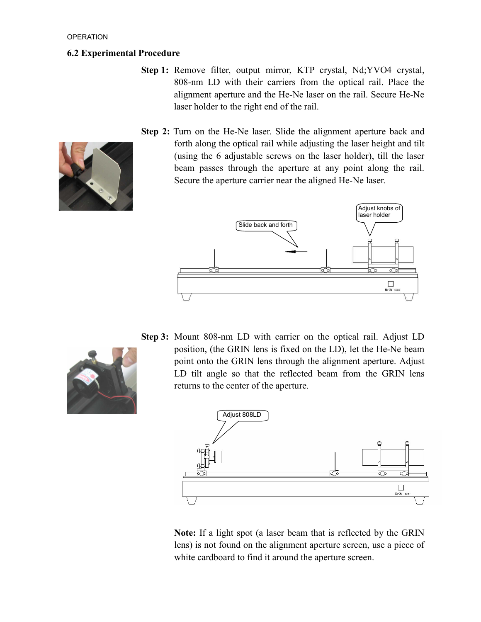## 6.2 Experimental Procedure

- Step 1: Remove filter, output mirror, KTP crystal, Nd;YVO4 crystal, 808-nm LD with their carriers from the optical rail. Place the alignment aperture and the He-Ne laser on the rail. Secure He-Ne laser holder to the right end of the rail.
- Step 2: Turn on the He-Ne laser. Slide the alignment aperture back and forth along the optical rail while adjusting the laser height and tilt (using the 6 adjustable screws on the laser holder), till the laser beam passes through the aperture at any point along the rail. Secure the aperture carrier near the aligned He-Ne laser.





Step 3: Mount 808-nm LD with carrier on the optical rail. Adjust LD position, (the GRIN lens is fixed on the LD), let the He-Ne beam point onto the GRIN lens through the alignment aperture. Adjust LD tilt angle so that the reflected beam from the GRIN lens returns to the center of the aperture.



Note: If a light spot (a laser beam that is reflected by the GRIN lens) is not found on the alignment aperture screen, use a piece of white cardboard to find it around the aperture screen.

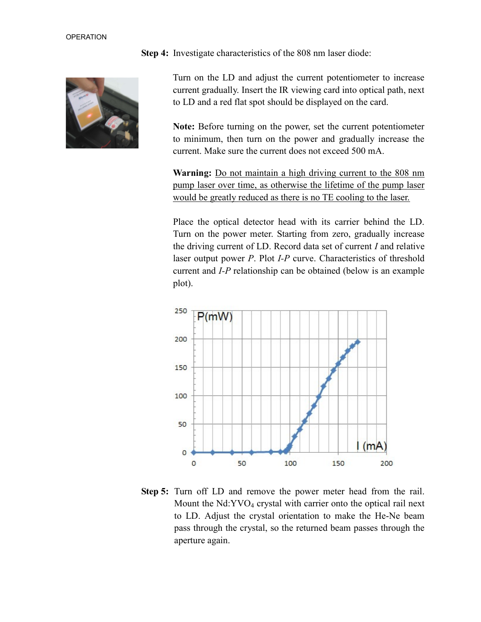Step 4: Investigate characteristics of the 808 nm laser diode:



Turn on the LD and adjust the current potentiometer to increase current gradually. Insert the IR viewing card into optical path, next to LD and a red flat spot should be displayed on the card.

Note: Before turning on the power, set the current potentiometer to minimum, then turn on the power and gradually increase the current. Make sure the current does not exceed 500 mA.

Warning: Do not maintain a high driving current to the 808 nm pump laser over time, as otherwise the lifetime of the pump laser would be greatly reduced as there is no TE cooling to the laser.

Place the optical detector head with its carrier behind the LD. Turn on the power meter. Starting from zero, gradually increase the driving current of LD. Record data set of current  $I$  and relative laser output power P. Plot I-P curve. Characteristics of threshold current and I-P relationship can be obtained (below is an example plot).



Step 5: Turn off LD and remove the power meter head from the rail. Mount the  $Nd:YVO<sub>4</sub>$  crystal with carrier onto the optical rail next to LD. Adjust the crystal orientation to make the He-Ne beam pass through the crystal, so the returned beam passes through the aperture again.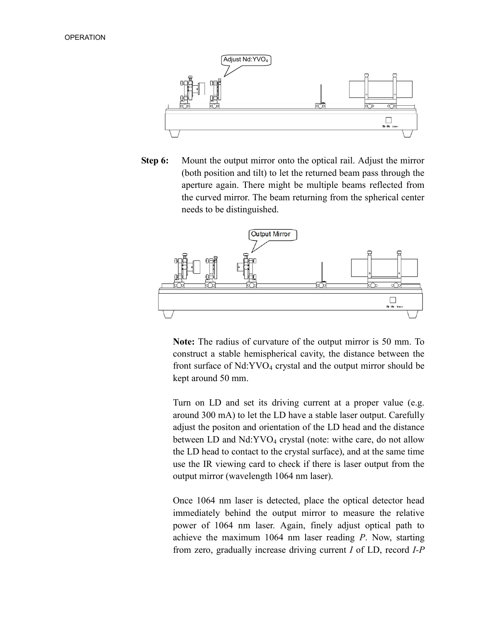

Step 6: Mount the output mirror onto the optical rail. Adjust the mirror (both position and tilt) to let the returned beam pass through the aperture again. There might be multiple beams reflected from the curved mirror. The beam returning from the spherical center needs to be distinguished.



Note: The radius of curvature of the output mirror is 50 mm. To construct a stable hemispherical cavity, the distance between the front surface of Nd:YVO<sub>4</sub> crystal and the output mirror should be kept around 50 mm.

Turn on LD and set its driving current at a proper value (e.g. around 300 mA) to let the LD have a stable laser output. Carefully adjust the positon and orientation of the LD head and the distance between LD and Nd:YVO<sub>4</sub> crystal (note: withe care, do not allow the LD head to contact to the crystal surface), and at the same time use the IR viewing card to check if there is laser output from the output mirror (wavelength 1064 nm laser).

Once 1064 nm laser is detected, place the optical detector head immediately behind the output mirror to measure the relative power of 1064 nm laser. Again, finely adjust optical path to achieve the maximum 1064 nm laser reading P. Now, starting from zero, gradually increase driving current  $I$  of LD, record  $I-P$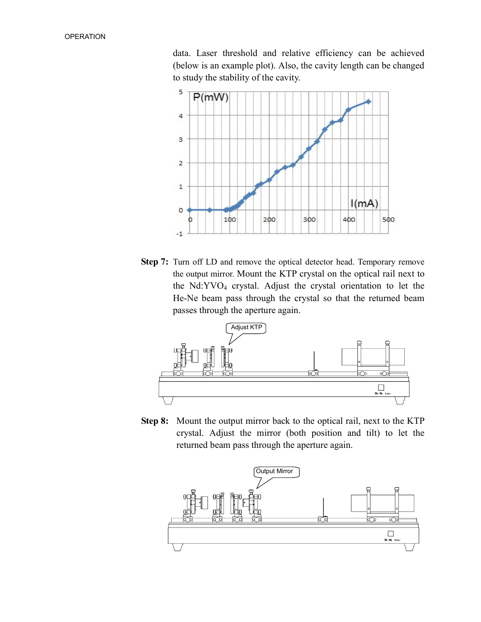data. Laser threshold and relative efficiency can be achieved (below is an example plot). Also, the cavity length can be changed to study the stability of the cavity.



Step 7: Turn off LD and remove the optical detector head. Temporary remove the output mirror. Mount the KTP crystal on the optical rail next to the Nd:YVO4 crystal. Adjust the crystal orientation to let the He-Ne beam pass through the crystal so that the returned beam passes through the aperture again.



Step 8: Mount the output mirror back to the optical rail, next to the KTP crystal. Adjust the mirror (both position and tilt) to let the returned beam pass through the aperture again.

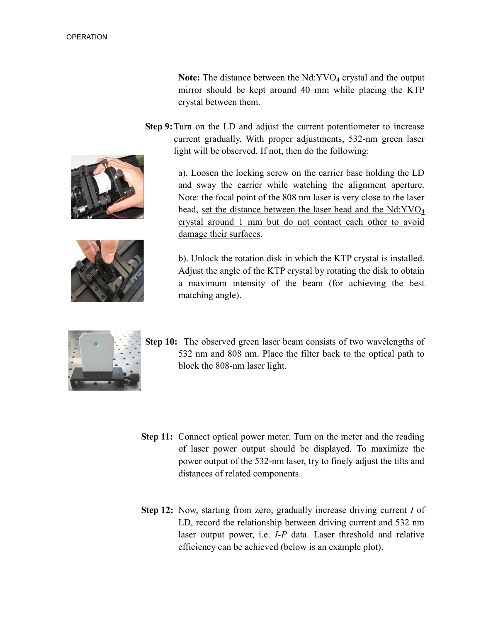Note: The distance between the  $Nd:YVO<sub>4</sub>$  crystal and the output mirror should be kept around 40 mm while placing the KTP crystal between them.

Step 9: Turn on the LD and adjust the current potentiometer to increase current gradually. With proper adjustments, 532-nm green laser light will be observed. If not, then do the following:

> a). Loosen the locking screw on the carrier base holding the LD and sway the carrier while watching the alignment aperture. Note: the focal point of the 808 nm laser is very close to the laser head, set the distance between the laser head and the Nd:YVO<sub>4</sub> crystal around 1 mm but do not contact each other to avoid damage their surfaces.

> b). Unlock the rotation disk in which the KTP crystal is installed. Adjust the angle of the KTP crystal by rotating the disk to obtain a maximum intensity of the beam (for achieving the best matching angle).



- Step 10: The observed green laser beam consists of two wavelengths of 532 nm and 808 nm. Place the filter back to the optical path to block the 808-nm laser light.
- Step 11: Connect optical power meter. Turn on the meter and the reading of laser power output should be displayed. To maximize the power output of the 532-nm laser, try to finely adjust the tilts and distances of related components.
- Step 12: Now, starting from zero, gradually increase driving current I of LD, record the relationship between driving current and 532 nm laser output power, i.e. I-P data. Laser threshold and relative efficiency can be achieved (below is an example plot).